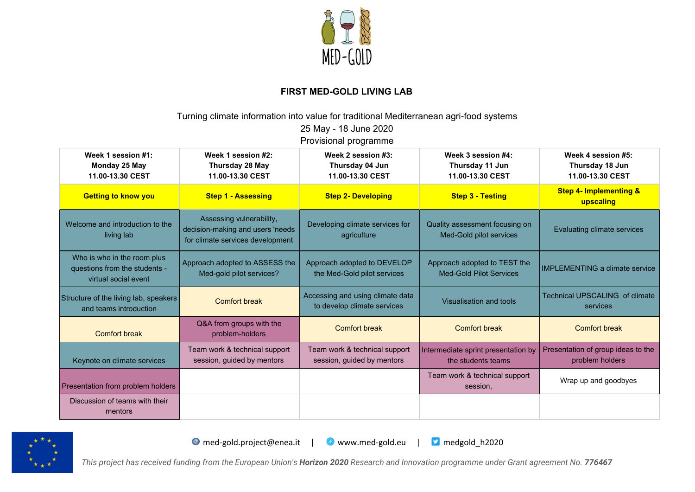

## **FIRST MED-GOLD LIVING LAB**

Turning climate information into value for traditional Mediterranean agri-food systems 25 May - 18 June 2020

Provisional programme

| Week 1 session #1:<br>Monday 25 May<br>11.00-13.30 CEST                              | Week 1 session #2:<br>Thursday 28 May<br>11.00-13.30 CEST                                        | Week 2 session #3:<br>Thursday 04 Jun<br>11.00-13.30 CEST       | Week 3 session #4:<br>Thursday 11 Jun<br>11.00-13.30 CEST      | Week 4 session #5:<br>Thursday 18 Jun<br>11.00-13.30 CEST |
|--------------------------------------------------------------------------------------|--------------------------------------------------------------------------------------------------|-----------------------------------------------------------------|----------------------------------------------------------------|-----------------------------------------------------------|
| <b>Getting to know you</b>                                                           | <b>Step 1 - Assessing</b>                                                                        | <b>Step 2- Developing</b>                                       | <b>Step 3 - Testing</b>                                        | <b>Step 4- Implementing &amp;</b><br>upscaling            |
| Welcome and introduction to the<br>living lab                                        | Assessing vulnerability,<br>decision-making and users 'needs<br>for climate services development | Developing climate services for<br>agriculture                  | Quality assessment focusing on<br>Med-Gold pilot services      | Evaluating climate services                               |
| Who is who in the room plus<br>questions from the students -<br>virtual social event | Approach adopted to ASSESS the<br>Med-gold pilot services?                                       | Approach adopted to DEVELOP<br>the Med-Gold pilot services      | Approach adopted to TEST the<br><b>Med-Gold Pilot Services</b> | <b>IMPLEMENTING a climate service</b>                     |
| Structure of the living lab, speakers<br>and teams introduction                      | <b>Comfort break</b>                                                                             | Accessing and using climate data<br>to develop climate services | Visualisation and tools                                        | <b>Technical UPSCALING of climate</b><br>services         |
| <b>Comfort break</b>                                                                 | Q&A from groups with the<br>problem-holders                                                      | <b>Comfort break</b>                                            | <b>Comfort break</b>                                           | <b>Comfort break</b>                                      |
| Keynote on climate services                                                          | Team work & technical support<br>session, guided by mentors                                      | Team work & technical support<br>session, guided by mentors     | Intermediate sprint presentation by<br>the students teams      | Presentation of group ideas to the<br>problem holders     |
| Presentation from problem holders                                                    |                                                                                                  |                                                                 | Team work & technical support<br>session,                      | Wrap up and goodbyes                                      |
| Discussion of teams with their<br>mentors                                            |                                                                                                  |                                                                 |                                                                |                                                           |



O med-gold.project@enea.it | O www.med-gold.eu | D medgold\_h2020